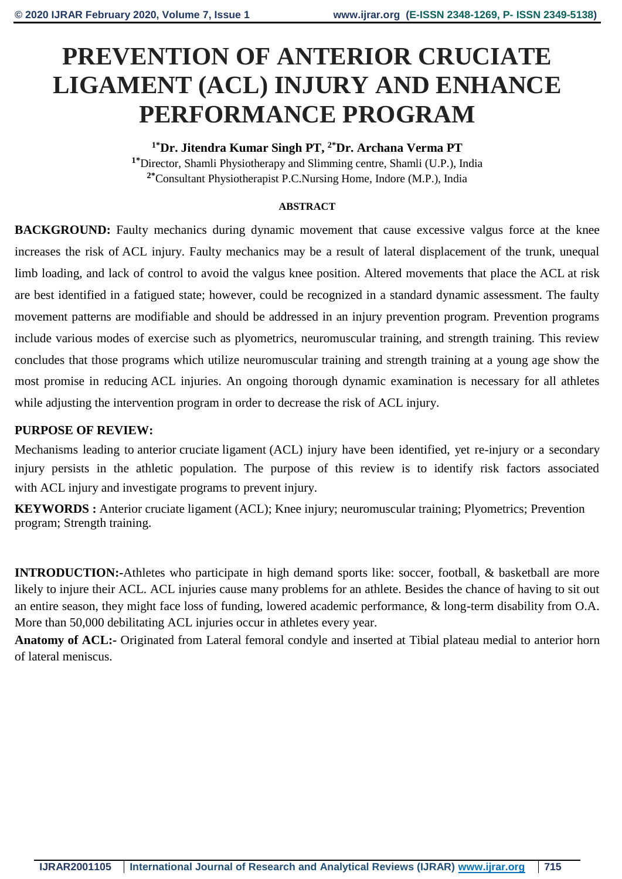# **PREVENTION OF ANTERIOR CRUCIATE LIGAMENT (ACL) INJURY AND ENHANCE PERFORMANCE PROGRAM**

#### **1\*Dr. Jitendra Kumar Singh PT, 2\*Dr. Archana Verma PT**

**1\***Director, Shamli Physiotherapy and Slimming centre, Shamli (U.P.), India **2\***Consultant Physiotherapist P.C.Nursing Home, Indore (M.P.), India

#### **ABSTRACT**

**BACKGROUND:** Faulty mechanics during dynamic movement that cause excessive valgus force at the knee increases the risk of ACL injury. Faulty mechanics may be a result of lateral displacement of the trunk, unequal limb loading, and lack of control to avoid the valgus knee position. Altered movements that place the ACL at risk are best identified in a fatigued state; however, could be recognized in a standard dynamic assessment. The faulty movement patterns are modifiable and should be addressed in an injury prevention program. Prevention programs include various modes of exercise such as plyometrics, neuromuscular training, and strength training. This review concludes that those programs which utilize neuromuscular training and strength training at a young age show the most promise in reducing ACL injuries. An ongoing thorough dynamic examination is necessary for all athletes while adjusting the intervention program in order to decrease the risk of ACL injury.

### **PURPOSE OF REVIEW:**

Mechanisms leading to anterior cruciate ligament (ACL) injury have been identified, yet re-injury or a secondary injury persists in the athletic population. The purpose of this review is to identify risk factors associated with ACL injury and investigate programs to prevent injury.

**KEYWORDS :** Anterior cruciate ligament (ACL); Knee injury; neuromuscular training; Plyometrics; Prevention program; Strength training.

**INTRODUCTION:-**Athletes who participate in high demand sports like: soccer, football, & basketball are more likely to injure their ACL. ACL injuries cause many problems for an athlete. Besides the chance of having to sit out an entire season, they might face loss of funding, lowered academic performance, & long-term disability from O.A. More than 50,000 debilitating ACL injuries occur in athletes every year.

**Anatomy of ACL:-** Originated from Lateral femoral condyle and inserted at Tibial plateau medial to anterior horn of lateral meniscus.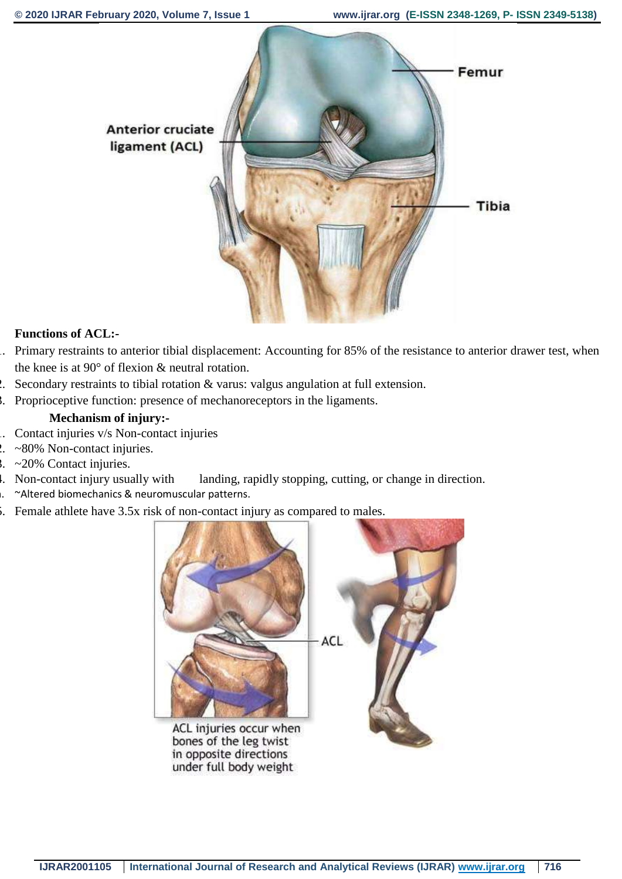

#### **Functions of ACL:-**

- 1. Primary restraints to anterior tibial displacement: Accounting for 85% of the resistance to anterior drawer test, when the knee is at 90° of flexion & neutral rotation.
- 2. Secondary restraints to tibial rotation  $\&$  varus: valgus angulation at full extension.
- 3. Proprioceptive function: presence of mechanoreceptors in the ligaments.

#### **Mechanism of injury:-**

- 1. Contact injuries v/s Non-contact injuries
- 2. ~80% Non-contact injuries.
- $3. \sim 20\%$  Contact injuries.
- 4. Non-contact injury usually with landing, rapidly stopping, cutting, or change in direction.
- ~Altered biomechanics & neuromuscular patterns.
- 5. Female athlete have 3.5x risk of non-contact injury as compared to males.

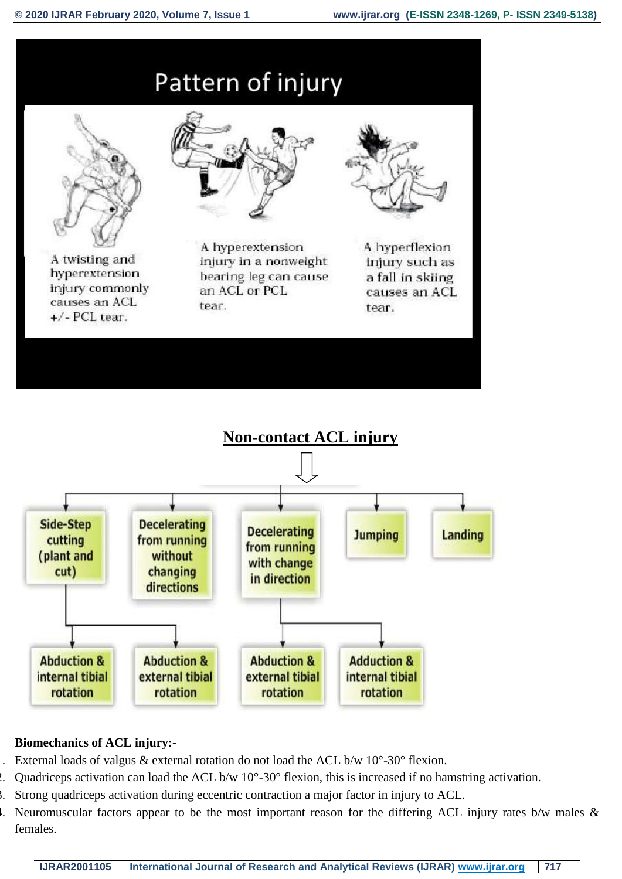

#### **Biomechanics of ACL injury:-**

- . External loads of valgus & external rotation do not load the ACL b/w  $10^{\circ}$ -30° flexion.
- 2. Quadriceps activation can load the ACL  $b/w 10^{\circ}$ -30° flexion, this is increased if no hamstring activation.
- 3. Strong quadriceps activation during eccentric contraction a major factor in injury to ACL.
- 4. Neuromuscular factors appear to be the most important reason for the differing ACL injury rates b/w males & females.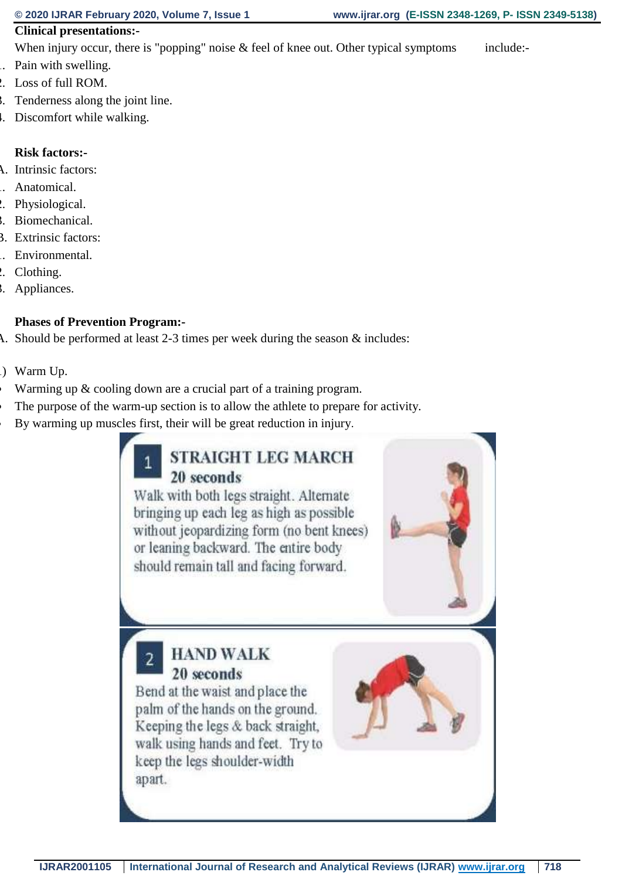#### **Clinical presentations:-**

When injury occur, there is "popping" noise  $\&$  feel of knee out. Other typical symptoms include:-

- 1. Pain with swelling.
- 2. Loss of full ROM.
- 3. Tenderness along the joint line.
- 4. Discomfort while walking.

### **Risk factors:-**

- A. Intrinsic factors:
- . Anatomical.
- 2. Physiological.
- 3. Biomechanical.
- B. Extrinsic factors:
- 1. Environmental.
- 2. Clothing.
- 3. Appliances.

### **Phases of Prevention Program:-**

A. Should be performed at least 2-3 times per week during the season  $\&$  includes:

- 1) Warm Up.
- Warming up & cooling down are a crucial part of a training program.
- The purpose of the warm-up section is to allow the athlete to prepare for activity.
- By warming up muscles first, their will be great reduction in injury.

### **STRAIGHT LEG MARCH** 20 seconds

Walk with both legs straight. Alternate bringing up each leg as high as possible without jeopardizing form (no bent knees) or leaning backward. The entire body should remain tall and facing forward.

### **HAND WALK** 20 seconds

Bend at the waist and place the palm of the hands on the ground. Keeping the legs & back straight, walk using hands and feet. Try to keep the legs shoulder-width apart.

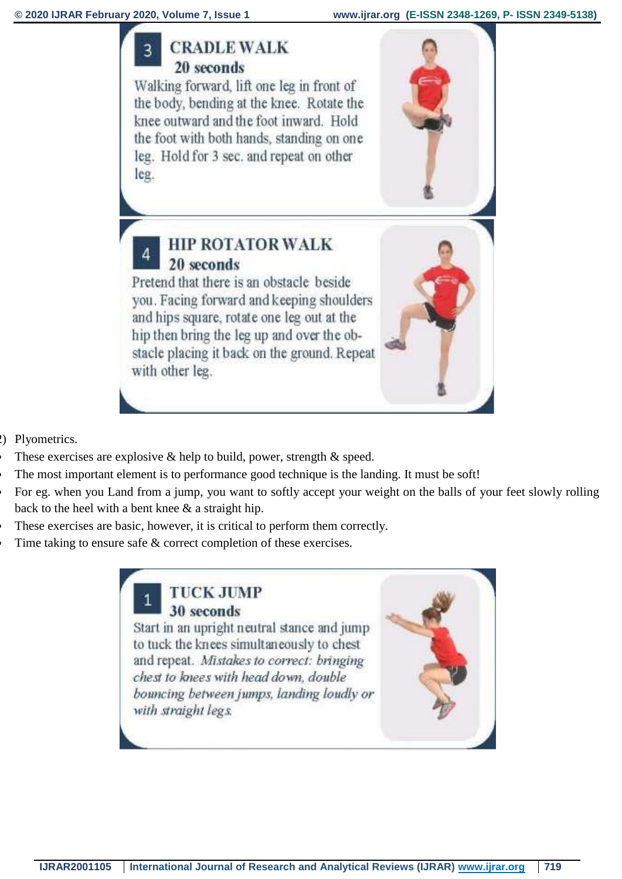

Walking forward, lift one leg in front of the body, bending at the knee. Rotate the knee outward and the foot inward. Hold the foot with both hands, standing on one leg. Hold for 3 sec. and repeat on other leg.





Pretend that there is an obstacle beside you. Facing forward and keeping shoulders and hips square, rotate one leg out at the hip then bring the leg up and over the obstacle placing it back on the ground. Repeat with other leg.



- 2) Plyometrics.
- These exercises are explosive & help to build, power, strength & speed.
- The most important element is to performance good technique is the landing. It must be soft!
- For eg. when you Land from a jump, you want to softly accept your weight on the balls of your feet slowly rolling back to the heel with a bent knee & a straight hip.
- These exercises are basic, however, it is critical to perform them correctly.
- Time taking to ensure safe & correct completion of these exercises.

**TUCK JUMP** 30 seconds

Start in an upright neutral stance and jump to tuck the knees simultaneously to chest and repeat. Mistakes to correct: bringing chest to knees with head down, double bouncing between jumps, landing loudly or with straight legs.

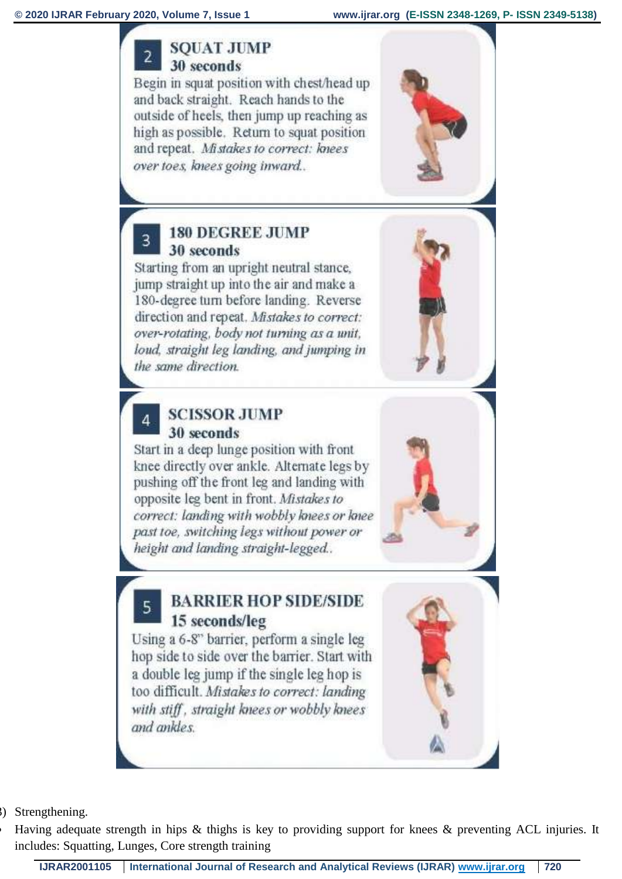

3

### **SOUAT JUMP** 30 seconds

Begin in squat position with chest/head up and back straight. Reach hands to the outside of heels, then jump up reaching as high as possible. Return to squat position and repeat. Mistakes to correct: knees over toes, lonees going inward...



### **180 DEGREE JUMP** 30 seconds

Starting from an upright neutral stance, jump straight up into the air and make a 180-degree turn before landing. Reverse direction and repeat. Mistakes to correct: over-rotating, body not turning as a unit, loud, straight leg landing, and jumping in the same direction.



### **SCISSOR JUMP** 30 seconds

Start in a deep lunge position with front knee directly over ankle. Alternate legs by pushing off the front leg and landing with opposite leg bent in front. Mistakes to correct: landing with wobbly lonees or lonee past toe, switching legs without power or height and landing straight-legged...



### **BARRIER HOP SIDE/SIDE** 15 seconds/leg

Using a 6-8" barrier, perform a single leg hop side to side over the barrier. Start with a double leg jump if the single leg hop is too difficult. Mistakes to correct: landing with stiff, straight knees or wobbly knees and ankles.



3) Strengthening.

 Having adequate strength in hips & thighs is key to providing support for knees & preventing ACL injuries. It includes: Squatting, Lunges, Core strength training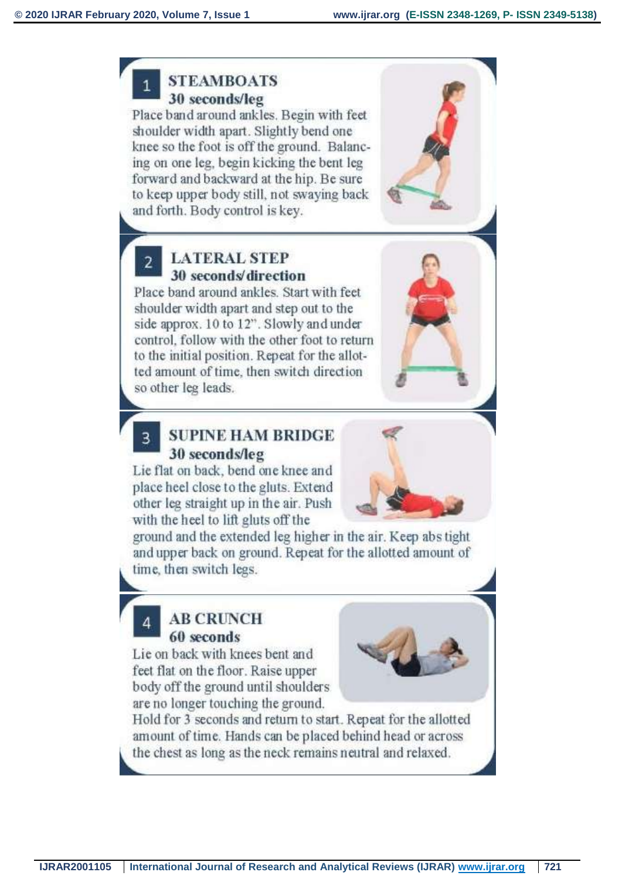

### **STEAMBOATS** 30 seconds/leg

Place band around ankles. Begin with feet shoulder width apart. Slightly bend one knee so the foot is off the ground. Balancing on one leg, begin kicking the bent leg forward and backward at the hip. Be sure to keep upper body still, not swaying back and forth. Body control is key.



#### **LATERAL STEP**  $\overline{z}$ 30 seconds/direction

Place band around ankles. Start with feet shoulder width apart and step out to the side approx. 10 to 12". Slowly and under control, follow with the other foot to return to the initial position. Repeat for the allotted amount of time, then switch direction so other leg leads.



# 3

### **SUPINE HAM BRIDGE** 30 seconds/leg

Lie flat on back, bend one knee and place heel close to the gluts. Extend other leg straight up in the air. Push with the heel to lift gluts off the



ground and the extended leg higher in the air. Keep abs tight and upper back on ground. Repeat for the allotted amount of time, then switch legs.

### **AB CRUNCH** 60 seconds

Lie on back with knees bent and feet flat on the floor. Raise upper body off the ground until shoulders are no longer touching the ground.



Hold for 3 seconds and return to start. Repeat for the allotted amount of time. Hands can be placed behind head or across the chest as long as the neck remains neutral and relaxed.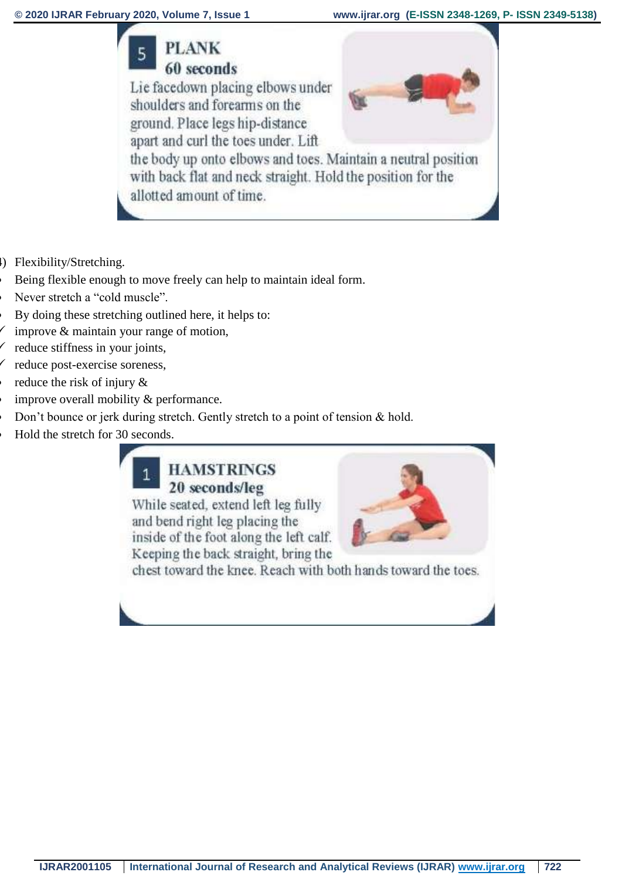

Lie facedown placing elbows under shoulders and forearms on the ground. Place legs hip-distance apart and curl the toes under. Lift



the body up onto elbows and toes. Maintain a neutral position with back flat and neck straight. Hold the position for the allotted amount of time.

- 4) Flexibility/Stretching.
- Being flexible enough to move freely can help to maintain ideal form.
- Never stretch a "cold muscle".
- By doing these stretching outlined here, it helps to:
- improve & maintain your range of motion,
- reduce stiffness in your joints,
- reduce post-exercise soreness,
- reduce the risk of injury &
- improve overall mobility & performance.
- Don't bounce or jerk during stretch. Gently stretch to a point of tension & hold.
- Hold the stretch for 30 seconds.



While seated, extend left leg fully and bend right leg placing the inside of the foot along the left calf. Keeping the back straight, bring the



chest toward the knee. Reach with both hands toward the toes.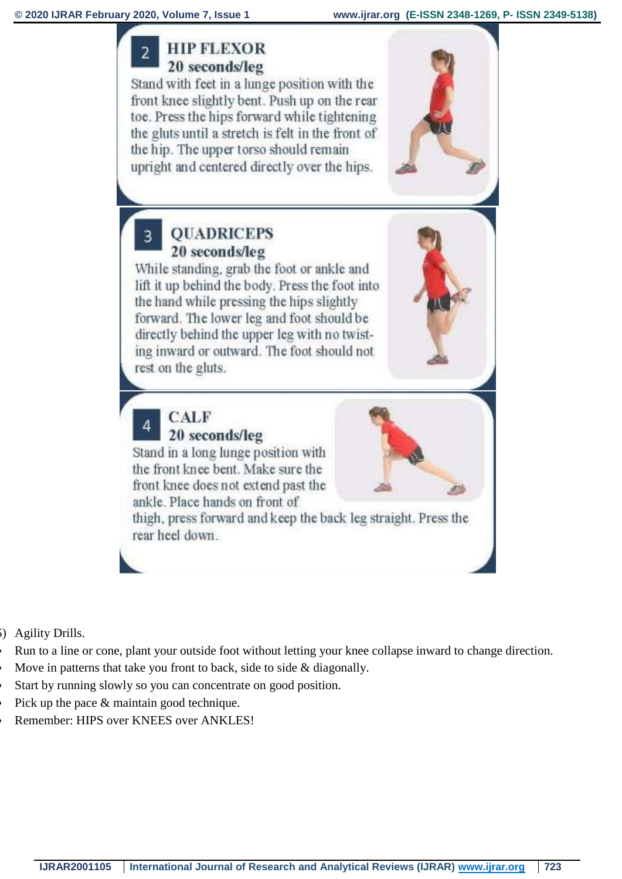

### **HIP FLEXOR** 20 seconds/leg

Stand with feet in a lunge position with the front knee slightly bent. Push up on the rear toe. Press the hips forward while tightening the gluts until a stretch is felt in the front of the hip. The upper torso should remain upright and centered directly over the hips.



### **QUADRICEPS** 20 seconds/leg

While standing, grab the foot or ankle and lift it up behind the body. Press the foot into the hand while pressing the hips slightly forward. The lower leg and foot should be directly behind the upper leg with no twisting inward or outward. The foot should not rest on the gluts.



### **CALF** 20 seconds/leg

Stand in a long lunge position with the front knee bent. Make sure the front knee does not extend past the ankle. Place hands on front of



thigh, press forward and keep the back leg straight. Press the rear heel down.

- 5) Agility Drills.
- Run to a line or cone, plant your outside foot without letting your knee collapse inward to change direction.
- Move in patterns that take you front to back, side to side & diagonally.
- Start by running slowly so you can concentrate on good position.
- Pick up the pace & maintain good technique.
- Remember: HIPS over KNEES over ANKLES!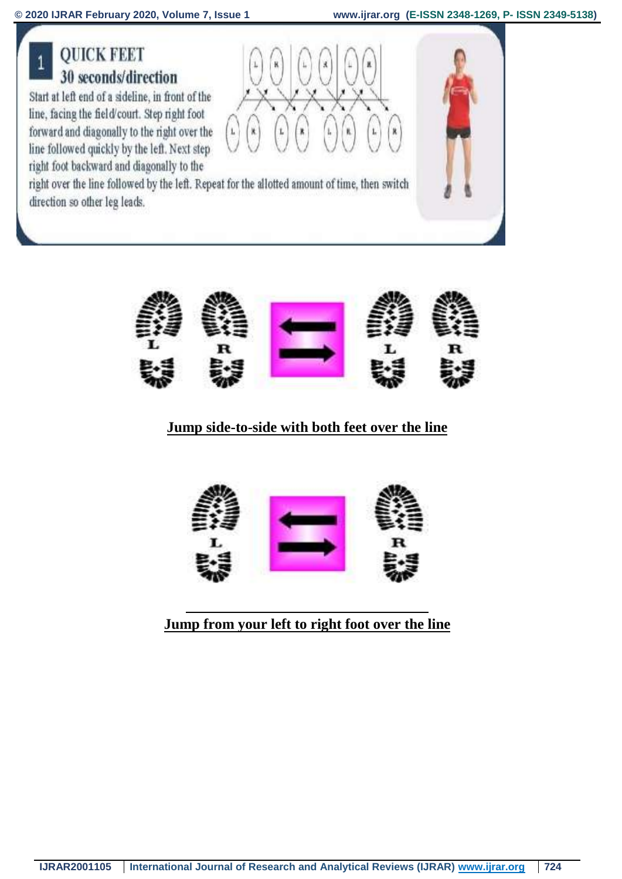#### **© 2020 IJRAR February 2020, Volume 7, Issue 1 www.ijrar.org (E-ISSN 2348-1269, P- ISSN 2349-5138)**

## **QUICK FEET** 30 seconds/direction

1

Start at left end of a sideline, in front of the line, facing the field/court. Step right foot forward and diagonally to the right over the line followed quickly by the left. Next step right foot backward and diagonally to the



right over the line followed by the left. Repeat for the allotted amount of time, then switch direction so other leg leads.



**Jump side-to-side with both feet over the line**



**Jump from your left to right foot over the line**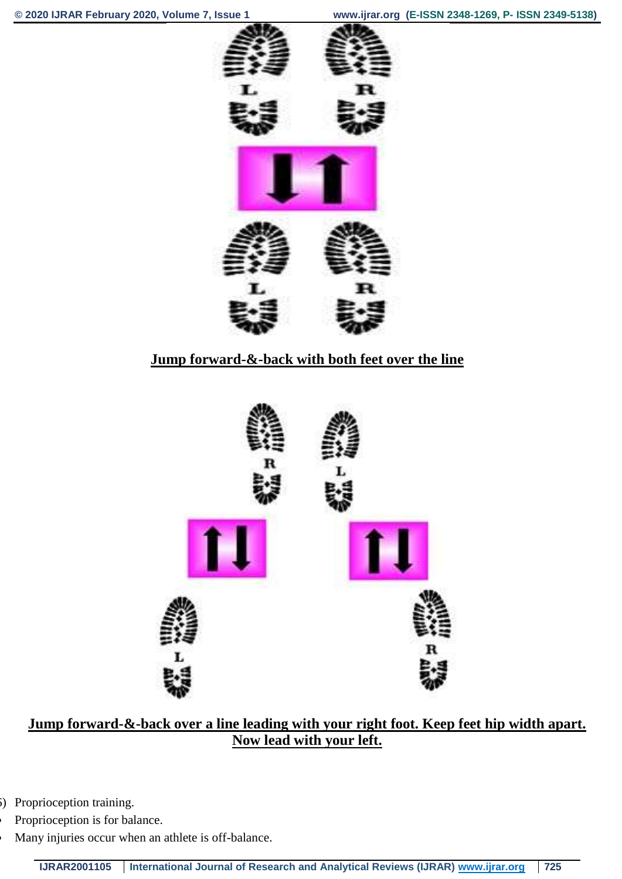

### **Jump forward-&-back with both feet over the line**



### **Jump forward-&-back over a line leading with your right foot. Keep feet hip width apart. Now lead with your left.**

- 6) Proprioception training.
- Proprioception is for balance.
- Many injuries occur when an athlete is off-balance.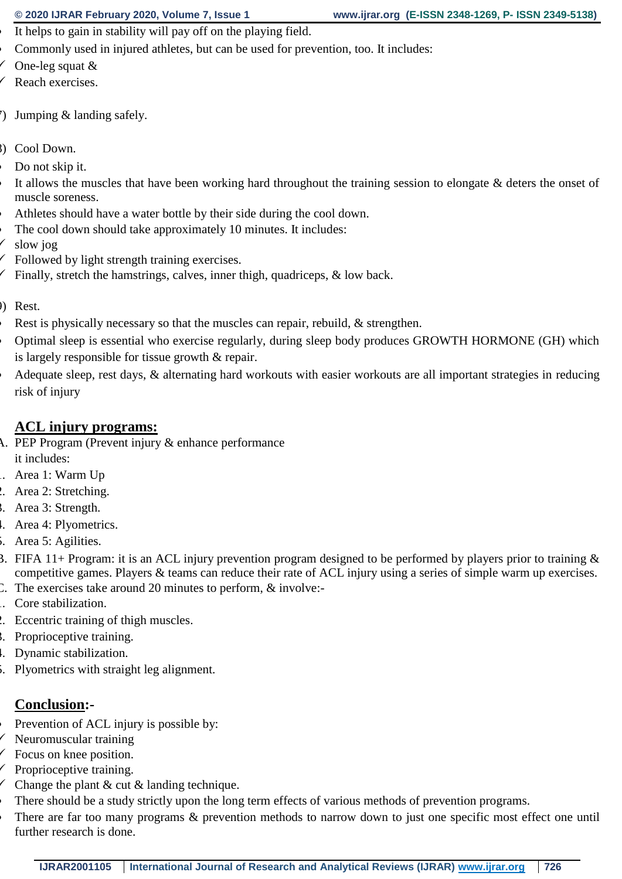- It helps to gain in stability will pay off on the playing field.
- Commonly used in injured athletes, but can be used for prevention, too. It includes:
- One-leg squat &
- Reach exercises.
- ) Jumping  $&$  landing safely.
- 8) Cool Down.
- Do not skip it.
- It allows the muscles that have been working hard throughout the training session to elongate & deters the onset of muscle soreness.
- Athletes should have a water bottle by their side during the cool down.
- The cool down should take approximately 10 minutes. It includes:
- slow jog
- Followed by light strength training exercises.
- Finally, stretch the hamstrings, calves, inner thigh, quadriceps, & low back.
- 9) Rest.
- Rest is physically necessary so that the muscles can repair, rebuild, & strengthen.
- Optimal sleep is essential who exercise regularly, during sleep body produces GROWTH HORMONE (GH) which is largely responsible for tissue growth & repair.
- Adequate sleep, rest days, & alternating hard workouts with easier workouts are all important strategies in reducing risk of injury

### **ACL injury programs:**

- A. PEP Program (Prevent injury & enhance performance it includes:
- 1. Area 1: Warm Up
- 2. Area 2: Stretching.
- 3. Area 3: Strength.
- 4. Area 4: Plyometrics.
- 5. Area 5: Agilities.
- B. FIFA 11+ Program: it is an ACL injury prevention program designed to be performed by players prior to training  $\&$ competitive games. Players & teams can reduce their rate of ACL injury using a series of simple warm up exercises.
- C. The exercises take around 20 minutes to perform, & involve:-
- . Core stabilization.
- 2. Eccentric training of thigh muscles.
- 3. Proprioceptive training.
- 4. Dynamic stabilization.
- 5. Plyometrics with straight leg alignment.

### **Conclusion:-**

- Prevention of ACL injury is possible by:
- Neuromuscular training
- Focus on knee position.
- Proprioceptive training.
- Change the plant  $& cut & landing technique.$
- There should be a study strictly upon the long term effects of various methods of prevention programs.
- There are far too many programs & prevention methods to narrow down to just one specific most effect one until further research is done.